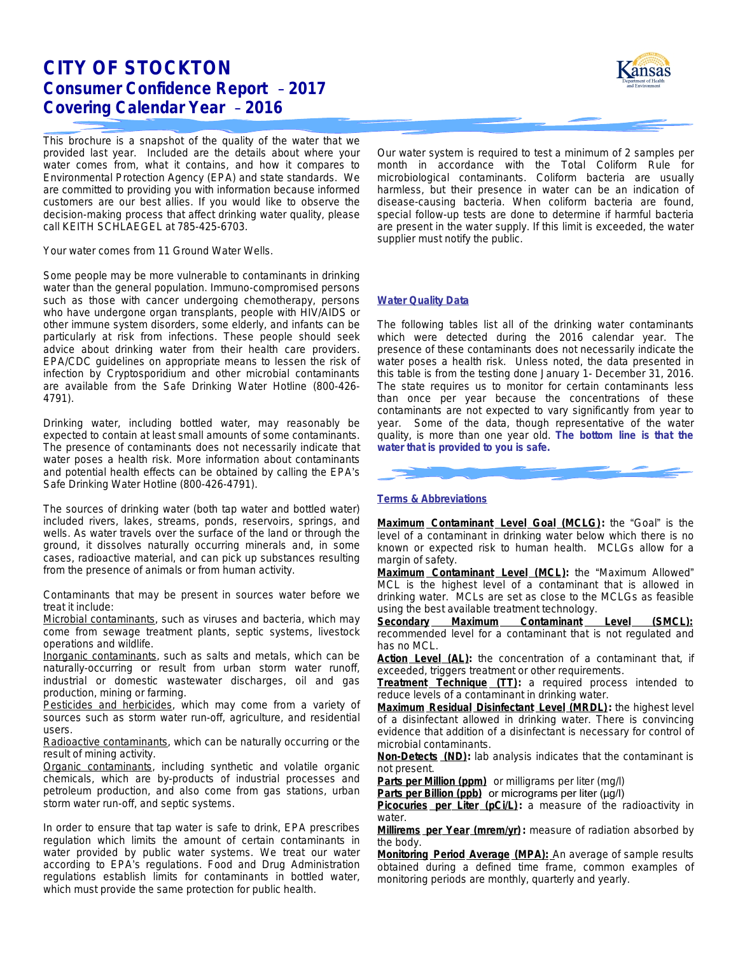# **CITY OF STOCKTON Consumer Confidence Report** – **2017 Covering Calendar Year** – **2016**

This brochure is a snapshot of the quality of the water that we provided last year. Included are the details about where your water comes from, what it contains, and how it compares to Environmental Protection Agency (EPA) and state standards. We are committed to providing you with information because informed customers are our best allies. If you would like to observe the decision-making process that affect drinking water quality, please call KEITH SCHLAEGEL at 785-425-6703.

Your water comes from 11 Ground Water Wells.

Some people may be more vulnerable to contaminants in drinking water than the general population. Immuno-compromised persons such as those with cancer undergoing chemotherapy, persons who have undergone organ transplants, people with HIV/AIDS or other immune system disorders, some elderly, and infants can be particularly at risk from infections. These people should seek advice about drinking water from their health care providers. EPA/CDC guidelines on appropriate means to lessen the risk of infection by *Cryptosporidium* and other microbial contaminants are available from the Safe Drinking Water Hotline (800-426- 4791).

Drinking water, including bottled water, may reasonably be expected to contain at least small amounts of some contaminants. The presence of contaminants does not necessarily indicate that water poses a health risk. More information about contaminants and potential health effects can be obtained by calling the EPA's Safe Drinking Water Hotline (800-426-4791).

The sources of drinking water (both tap water and bottled water) included rivers, lakes, streams, ponds, reservoirs, springs, and wells. As water travels over the surface of the land or through the ground, it dissolves naturally occurring minerals and, in some cases, radioactive material, and can pick up substances resulting from the presence of animals or from human activity.

Contaminants that may be present in sources water before we treat it include:

*Microbial contaminants*, such as viruses and bacteria, which may come from sewage treatment plants, septic systems, livestock operations and wildlife.

*Inorganic contaminants*, such as salts and metals, which can be naturally-occurring or result from urban storm water runoff, industrial or domestic wastewater discharges, oil and gas production, mining or farming.

*Pesticides and herbicides*, which may come from a variety of sources such as storm water run-off, agriculture, and residential users.

*Radioactive contaminants*, which can be naturally occurring or the result of mining activity.

*Organic contaminants*, including synthetic and volatile organic chemicals, which are by-products of industrial processes and petroleum production, and also come from gas stations, urban storm water run-off, and septic systems.

In order to ensure that tap water is safe to drink, EPA prescribes regulation which limits the amount of certain contaminants in water provided by public water systems. We treat our water according to EPA's regulations. Food and Drug Administration regulations establish limits for contaminants in bottled water, which must provide the same protection for public health.



Our water system is required to test a minimum of 2 samples per month in accordance with the Total Coliform Rule for microbiological contaminants. Coliform bacteria are usually harmless, but their presence in water can be an indication of disease-causing bacteria. When coliform bacteria are found, special follow-up tests are done to determine if harmful bacteria are present in the water supply. If this limit is exceeded, the water supplier must notify the public.

### **Water Quality Data**

The following tables list all of the drinking water contaminants which were detected during the 2016 calendar year. The presence of these contaminants does not necessarily indicate the water poses a health risk. Unless noted, the data presented in this table is from the testing done January 1- December 31, 2016. The state requires us to monitor for certain contaminants less than once per year because the concentrations of these contaminants are not expected to vary significantly from year to year. Some of the data, though representative of the water quality, is more than one year old. **The bottom line is that the water that is provided to you is safe.**

### **Terms & Abbreviations**

**Maximum Contaminant Level Goal (MCLG):** the "Goal" is the level of a contaminant in drinking water below which there is no known or expected risk to human health. MCLGs allow for a margin of safety.

**Maximum Contaminant Level (MCL):** the "Maximum Allowed" MCL is the highest level of a contaminant that is allowed in drinking water. MCLs are set as close to the MCLGs as feasible using the best available treatment technology.

**Secondary Maximum Contaminant Level (SMCL):** recommended level for a contaminant that is not regulated and has no MCL.

Action Level (AL): the concentration of a contaminant that, if exceeded, triggers treatment or other requirements.

**Treatment Technique (TT):** a required process intended to reduce levels of a contaminant in drinking water.

**Maximum Residual Disinfectant Level (MRDL):** the highest level of a disinfectant allowed in drinking water. There is convincing evidence that addition of a disinfectant is necessary for control of microbial contaminants.

**Non-Detects (ND):** lab analysis indicates that the contaminant is not present.

**Parts per Million (ppm)** or milligrams per liter (mg/l)

Parts per Billion (ppb) or micrograms per liter (µg/l)

Picocuries per Liter (pCi/L): a measure of the radioactivity in water.

**Millirems per Year (mrem/yr) :** measure of radiation absorbed by the body.

**Monitoring Period Average (MPA):** An average of sample results obtained during a defined time frame, common examples of monitoring periods are monthly, quarterly and yearly.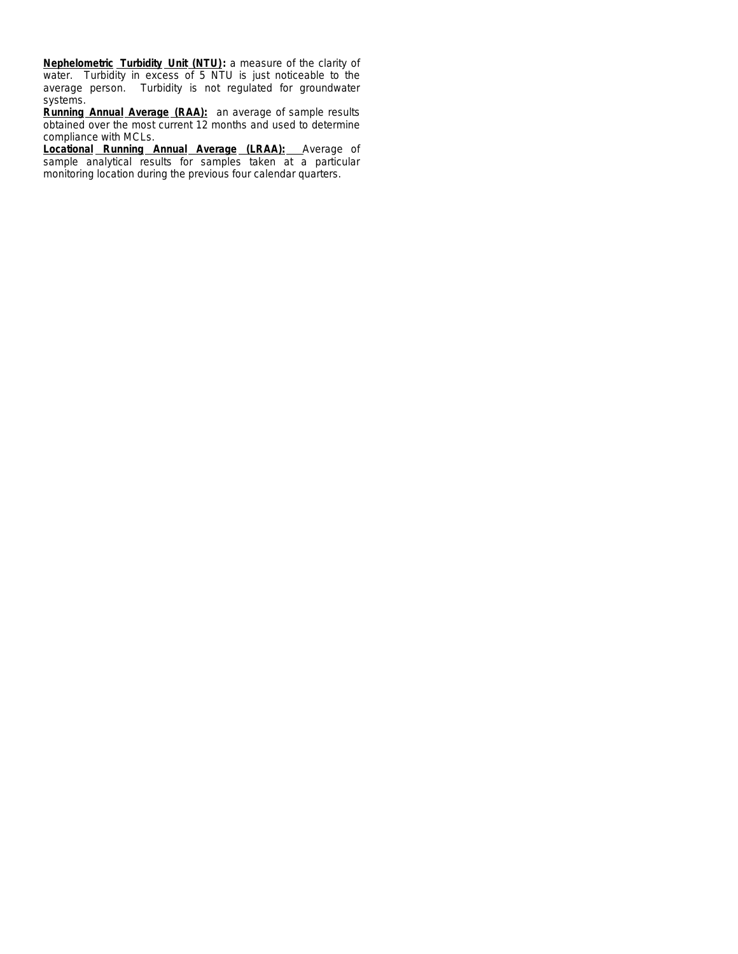**Nephelometric Turbidity Unit (NTU):** a measure of the clarity of water. Turbidity in excess of 5 NTU is just noticeable to the average person. Turbidity is not regulated for groundwater systems.

**Running Annual Average (RAA):** an average of sample results obtained over the most current 12 months and used to determine compliance with MCLs.

**Locational Running Annual Average (LRAA):** Average of sample analytical results for samples taken at a particular monitoring location during the previous four calendar quarters.